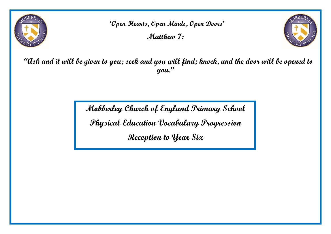

**'Open Hearts, Open Minds, Open Doors' Matthew 7:**



 **"Ask and it will be given to you; seek and you will find; knock, and the door will be opened to you."**

**Mobberley Church of England Primary School**

**Physical Education Vocabulary Progression**

**Reception to Year Six**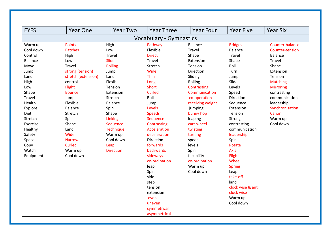| <b>EYFS</b>                                                                                                                                                                                                                 | <b>Year One</b>                                                                                                                                                                                                                                                                | <b>Year Two</b>                                                                                                                                                                                                                            | <b>Year Three</b>                                                                                                                                                                                                                                                                                  | <b>Year Four</b>                                                                                                                                                                                                                                                                                            | <b>Year Five</b>                                                                                                                                                                                                                                              | <b>Year Six</b>                                                                                                                                                                                                                   |
|-----------------------------------------------------------------------------------------------------------------------------------------------------------------------------------------------------------------------------|--------------------------------------------------------------------------------------------------------------------------------------------------------------------------------------------------------------------------------------------------------------------------------|--------------------------------------------------------------------------------------------------------------------------------------------------------------------------------------------------------------------------------------------|----------------------------------------------------------------------------------------------------------------------------------------------------------------------------------------------------------------------------------------------------------------------------------------------------|-------------------------------------------------------------------------------------------------------------------------------------------------------------------------------------------------------------------------------------------------------------------------------------------------------------|---------------------------------------------------------------------------------------------------------------------------------------------------------------------------------------------------------------------------------------------------------------|-----------------------------------------------------------------------------------------------------------------------------------------------------------------------------------------------------------------------------------|
|                                                                                                                                                                                                                             |                                                                                                                                                                                                                                                                                |                                                                                                                                                                                                                                            | <b>Vocabulary - Gymnastics</b>                                                                                                                                                                                                                                                                     |                                                                                                                                                                                                                                                                                                             |                                                                                                                                                                                                                                                               |                                                                                                                                                                                                                                   |
| Warm up<br>Cool down<br>Control<br><b>Balance</b><br>Move<br>Jump<br>Land<br>High<br>Low<br>Shape<br>Travel<br>Health<br>Explore<br>Diet<br>Stretch<br>Exercise<br>Healthy<br>Safety<br>Space<br>Copy<br>Watch<br>Equipment | <b>Points</b><br><b>Patches</b><br>High<br>Low<br>Travel<br>strong (tension)<br>stretch (extension)<br>control<br>Flight<br><b>Bounce</b><br>Jump<br>Flexible<br><b>Balance</b><br>Stretch<br>Spin<br>Shape<br>Land<br>Wide<br><b>Narrow</b><br>Curled<br>Warm up<br>Cool down | High<br>Low<br>Travel<br>Slide<br><b>Rolling</b><br>Jump<br>Land<br>Flexible<br>Tension<br>Extension<br>Stretch<br><b>Balance</b><br>Spin<br>Shape<br>Linking<br>Sequence<br>Technique<br>Warm up<br>Cool down<br>Leap<br><b>Direction</b> | Pathway<br>Flexible<br><b>Direct</b><br>Travel<br>Stretch<br>Wide<br><b>Thin</b><br>Long<br><b>Short</b><br>Curled<br>Roll<br>Jump<br>Levels<br><b>Speeds</b><br>Sequence<br>Contrasting<br>Acceleration<br>deceleration<br>Direction<br>forwards<br><b>backwards</b><br>sideways<br>co-ordination | <b>Balance</b><br><b>Travel</b><br>Shape<br>Extension<br>Tension<br>Direction<br>Sliding<br>Rolling<br>Contrasting<br>Communication<br>co-operation<br>receiving weight<br>jumping<br>bunny hop<br>leaping<br>cart-wheel<br>twisting<br>turning<br>speeds<br>levels<br>Spin<br>flexibility<br>co-ordination | <b>Bridges</b><br><b>Balance</b><br>Travel<br>Shape<br>Roll<br>Turn<br>Jump<br>Slide<br>Levels<br>Speed<br>Direction<br>Sequence<br>Extension<br>Tension<br>Strong<br>contrasting<br>communication<br>leadership<br>Spin<br>Rotate<br>Axis<br>Flight<br>Wheel | Counter-balance<br>Counter-tension<br>Balance<br>Travel<br>Shape<br>Extension<br>Tension<br><b>Matching</b><br><b>Mirroring</b><br>contrasting<br>communication<br>leadership<br>Synchronisation<br>Canon<br>Warm up<br>Cool down |
|                                                                                                                                                                                                                             |                                                                                                                                                                                                                                                                                |                                                                                                                                                                                                                                            | leap<br>Spin<br>side<br>step<br>tension<br>extension<br>even<br>uneven<br>symmetrical<br>asymmetrical                                                                                                                                                                                              | Warm up<br>Cool down                                                                                                                                                                                                                                                                                        | <b>Spring</b><br>Leap<br>take-off<br>land<br>clock wise & anti<br>clock wise<br>Warm up<br>Cool down                                                                                                                                                          |                                                                                                                                                                                                                                   |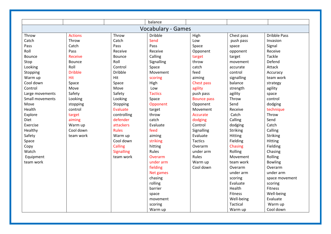|                 |                |                   | balance                   |                    |            |                     |
|-----------------|----------------|-------------------|---------------------------|--------------------|------------|---------------------|
|                 |                |                   | <b>Vocabulary - Games</b> |                    |            |                     |
| Throw           | <b>Actions</b> | Throw             | <b>Dribble</b>            | High               | Chest pass | <b>Dribble Pass</b> |
| Catch           | Throw          | Catch             | Send                      | Low                | push pass  | Invasion            |
| Pass            | Catch          | Pass              | Pass                      | Space              | space      | Signal              |
| Roll            | Pass           | Receive           | Receive                   | Opponent           | opponent   | Receive             |
| <b>Bounce</b>   | Receive        | <b>Bounce</b>     | Calling                   | target             | target     | Tackle              |
| Stop            | <b>Bounce</b>  | Roll              | Signalling                | throw              | movement   | Defend              |
| Looking         | Roll           | Control           | Space                     | catch              | accurate   | Attack              |
| Stopping        | <b>Dribble</b> | <b>Dribble</b>    | Movement                  | feed               | control    | Accuracy            |
| Warm up         | Hit            | Hit               | scoring                   | aiming             | signalling | team work           |
| Cool down       | Space          | Space             | High                      | Chest pass         | balance    | strategy            |
| Control         | Move           | Move              | Low                       | agility            | strength   | agility             |
| Large movements | Safety         | Safety            | <b>Tactics</b>            | push pass          | agility    | space               |
| Small movements | Looking        | Looking           | Space                     | <b>Bounce pass</b> | Throw      | control             |
| Move            | stopping       | Stopping          | Opponent                  | Opponent           | Send       | dodging             |
| Health          | control        | Evaluate          | target                    | Movement           | Receive    | technique           |
| Explore         | target         | controlling       | throw                     | Accurate           | Catch      | Throw               |
| <b>Diet</b>     | aiming         | defender          | catch                     | dodging            | Calling    | Send                |
| Exercise        | Warm up        | attackers         | Evaluate                  | Control            | dodging    | Catch               |
| Healthy         | Cool down      | <b>Rules</b>      | feed                      | Signalling         | Striking   | Calling             |
| Safety          | team work      | Warm up           | aiming                    | Evaluate           | Hitting    | Striking            |
| Space           |                | Cool down         | striking                  | <b>Tactics</b>     | Fielding   | Hitting             |
| Copy            |                | Calling           | hitting                   | Overarm            | Chasing    | Fielding            |
| Watch           |                | <b>Signalling</b> | Rules                     | under arm          | Rolling    | Chasing             |
| Equipment       |                | team work         | Overarm                   | Rules              | Movement   | Rolling             |
| team work       |                |                   | under arm                 | Warm up            | team work  | <b>Bowling</b>      |
|                 |                |                   | fielding                  | Cool down          | Overarm    | Overarm             |
|                 |                |                   | Net games                 |                    | under arm  | under arm           |
|                 |                |                   | chasing                   |                    | scoring    | space movement      |
|                 |                |                   | rolling                   |                    | Evaluate   | scoring             |
|                 |                |                   | barrier                   |                    | Health     | Fitness             |
|                 |                |                   | space                     |                    | Fitness    | Well-being          |
|                 |                |                   | movement                  |                    | Well-being | Evaluate            |
|                 |                |                   | scoring                   |                    | Tactical   | Warm up             |
|                 |                |                   | Warm up                   |                    | Warm up    | Cool down           |